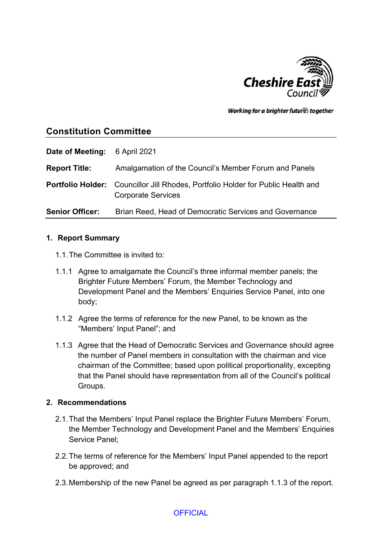

Working for a brighter futures together

# **Constitution Committee**

| Date of Meeting:       | 6 April 2021                                                                                                         |
|------------------------|----------------------------------------------------------------------------------------------------------------------|
| <b>Report Title:</b>   | Amalgamation of the Council's Member Forum and Panels                                                                |
|                        | <b>Portfolio Holder:</b> Councillor Jill Rhodes, Portfolio Holder for Public Health and<br><b>Corporate Services</b> |
| <b>Senior Officer:</b> | Brian Reed, Head of Democratic Services and Governance                                                               |

### **1. Report Summary**

- 1.1.The Committee is invited to:
- 1.1.1 Agree to amalgamate the Council's three informal member panels; the Brighter Future Members' Forum, the Member Technology and Development Panel and the Members' Enquiries Service Panel, into one body;
- 1.1.2 Agree the terms of reference for the new Panel, to be known as the "Members' Input Panel"; and
- 1.1.3 Agree that the Head of Democratic Services and Governance should agree the number of Panel members in consultation with the chairman and vice chairman of the Committee; based upon political proportionality, excepting that the Panel should have representation from all of the Council's political Groups.

## **2. Recommendations**

- 2.1.That the Members' Input Panel replace the Brighter Future Members' Forum, the Member Technology and Development Panel and the Members' Enquiries Service Panel;
- 2.2.The terms of reference for the Members' Input Panel appended to the report be approved; and
- 2.3.Membership of the new Panel be agreed as per paragraph 1.1.3 of the report.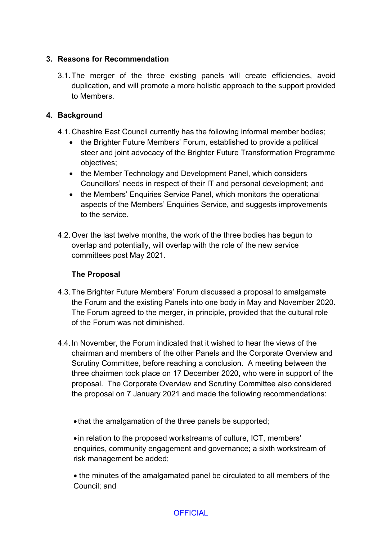## **3. Reasons for Recommendation**

3.1.The merger of the three existing panels will create efficiencies, avoid duplication, and will promote a more holistic approach to the support provided to Members.

## **4. Background**

- 4.1.Cheshire East Council currently has the following informal member bodies;
	- the Brighter Future Members' Forum, established to provide a political steer and joint advocacy of the Brighter Future Transformation Programme objectives;
	- the Member Technology and Development Panel, which considers Councillors' needs in respect of their IT and personal development; and
	- the Members' Enquiries Service Panel, which monitors the operational aspects of the Members' Enquiries Service, and suggests improvements to the service.
- 4.2.Over the last twelve months, the work of the three bodies has begun to overlap and potentially, will overlap with the role of the new service committees post May 2021.

## **The Proposal**

- 4.3.The Brighter Future Members' Forum discussed a proposal to amalgamate the Forum and the existing Panels into one body in May and November 2020. The Forum agreed to the merger, in principle, provided that the cultural role of the Forum was not diminished.
- 4.4.In November, the Forum indicated that it wished to hear the views of the chairman and members of the other Panels and the Corporate Overview and Scrutiny Committee, before reaching a conclusion. A meeting between the three chairmen took place on 17 December 2020, who were in support of the proposal. The Corporate Overview and Scrutiny Committee also considered the proposal on 7 January 2021 and made the following recommendations:
	- that the amalgamation of the three panels be supported;

 in relation to the proposed workstreams of culture, ICT, members' enquiries, community engagement and governance; a sixth workstream of risk management be added;

 the minutes of the amalgamated panel be circulated to all members of the Council; and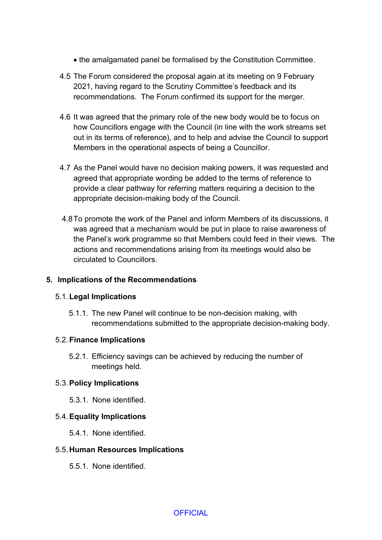- the amalgamated panel be formalised by the Constitution Committee.
- 4.5 The Forum considered the proposal again at its meeting on 9 February 2021, having regard to the Scrutiny Committee's feedback and its recommendations. The Forum confirmed its support for the merger.
- 4.6 It was agreed that the primary role of the new body would be to focus on how Councillors engage with the Council (in line with the work streams set out in its terms of reference), and to help and advise the Council to support Members in the operational aspects of being a Councillor.
- 4.7 As the Panel would have no decision making powers, it was requested and agreed that appropriate wording be added to the terms of reference to provide a clear pathway for referring matters requiring a decision to the appropriate decision-making body of the Council.
- 4.8To promote the work of the Panel and inform Members of its discussions, it was agreed that a mechanism would be put in place to raise awareness of the Panel's work programme so that Members could feed in their views. The actions and recommendations arising from its meetings would also be circulated to Councillors.

#### **5. Implications of the Recommendations**

#### 5.1.**Legal Implications**

5.1.1. The new Panel will continue to be non-decision making, with recommendations submitted to the appropriate decision-making body.

#### 5.2.**Finance Implications**

5.2.1. Efficiency savings can be achieved by reducing the number of meetings held.

#### 5.3.**Policy Implications**

5.3.1. None identified.

#### 5.4.**Equality Implications**

5.4.1. None identified.

#### 5.5. **Human Resources Implications**

5.5.1. None identified.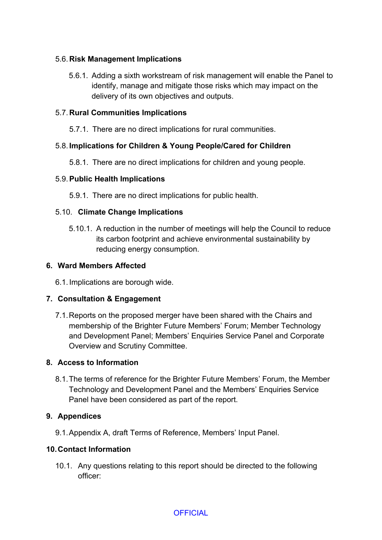## 5.6. **Risk Management Implications**

5.6.1. Adding a sixth workstream of risk management will enable the Panel to identify, manage and mitigate those risks which may impact on the delivery of its own objectives and outputs.

## 5.7. **Rural Communities Implications**

5.7.1. There are no direct implications for rural communities.

## 5.8. **Implications for Children & Young People/Cared for Children**

5.8.1. There are no direct implications for children and young people.

## 5.9.**Public Health Implications**

5.9.1. There are no direct implications for public health.

## 5.10. **Climate Change Implications**

5.10.1. A reduction in the number of meetings will help the Council to reduce its carbon footprint and achieve environmental sustainability by reducing energy consumption.

## **6. Ward Members Affected**

6.1. Implications are borough wide.

# **7. Consultation & Engagement**

7.1.Reports on the proposed merger have been shared with the Chairs and membership of the Brighter Future Members' Forum; Member Technology and Development Panel; Members' Enquiries Service Panel and Corporate Overview and Scrutiny Committee.

## **8. Access to Information**

8.1.The terms of reference for the Brighter Future Members' Forum, the Member Technology and Development Panel and the Members' Enquiries Service Panel have been considered as part of the report.

# **9. Appendices**

9.1.Appendix A, draft Terms of Reference, Members' Input Panel.

## **10.Contact Information**

10.1. Any questions relating to this report should be directed to the following officer: